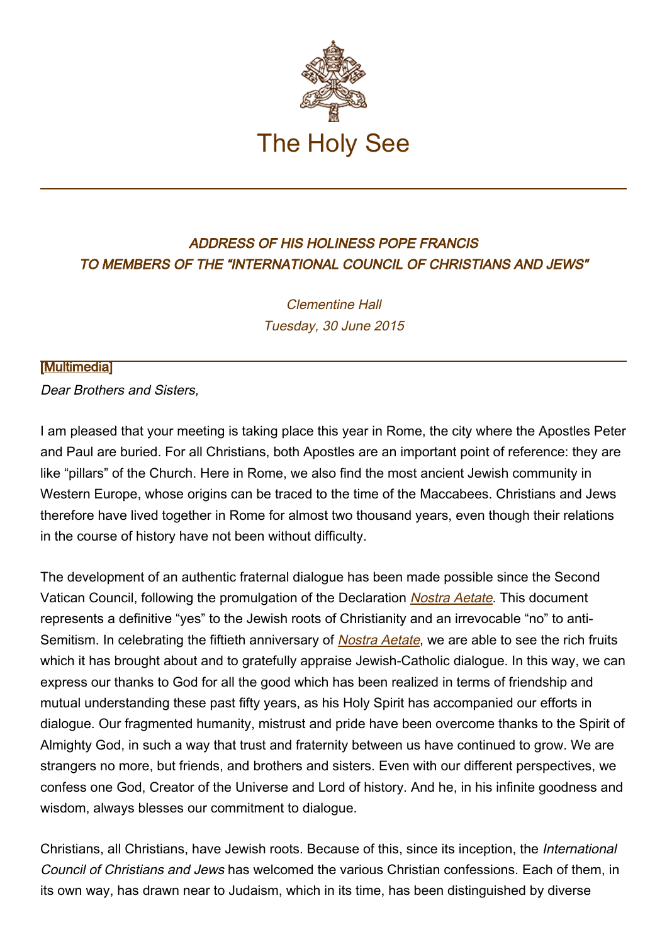

## ADDRESS OF HIS HOLINESS POPE FRANCIS TO MEMBERS OF THE "INTERNATIONAL COUNCIL OF CHRISTIANS AND JEWS"

Clementine Hall Tuesday, 30 June 2015

## **[\[Multimedia](http://w2.vatican.va/content/francesco/en/events/event.dir.html/content/vaticanevents/en/2015/6/30/iccj.html)]**

Dear Brothers and Sisters,

I am pleased that your meeting is taking place this year in Rome, the city where the Apostles Peter and Paul are buried. For all Christians, both Apostles are an important point of reference: they are like "pillars" of the Church. Here in Rome, we also find the most ancient Jewish community in Western Europe, whose origins can be traced to the time of the Maccabees. Christians and Jews therefore have lived together in Rome for almost two thousand years, even though their relations in the course of history have not been without difficulty.

The development of an authentic fraternal dialogue has been made possible since the Second Vatican Council, following the promulgation of the Declaration *[Nostra Aetate](http://www.vatican.va/archive/hist_councils/ii_vatican_council/documents/vat-ii_decl_19651028_nostra-aetate_en.html)*. This document represents a definitive "yes" to the Jewish roots of Christianity and an irrevocable "no" to anti-Semitism. In celebrating the fiftieth anniversary of **[Nostra Aetate](http://www.vatican.va/archive/hist_councils/ii_vatican_council/documents/vat-ii_decl_19651028_nostra-aetate_en.html)**, we are able to see the rich fruits which it has brought about and to gratefully appraise Jewish-Catholic dialogue. In this way, we can express our thanks to God for all the good which has been realized in terms of friendship and mutual understanding these past fifty years, as his Holy Spirit has accompanied our efforts in dialogue. Our fragmented humanity, mistrust and pride have been overcome thanks to the Spirit of Almighty God, in such a way that trust and fraternity between us have continued to grow. We are strangers no more, but friends, and brothers and sisters. Even with our different perspectives, we confess one God, Creator of the Universe and Lord of history. And he, in his infinite goodness and wisdom, always blesses our commitment to dialogue.

Christians, all Christians, have Jewish roots. Because of this, since its inception, the International Council of Christians and Jews has welcomed the various Christian confessions. Each of them, in its own way, has drawn near to Judaism, which in its time, has been distinguished by diverse